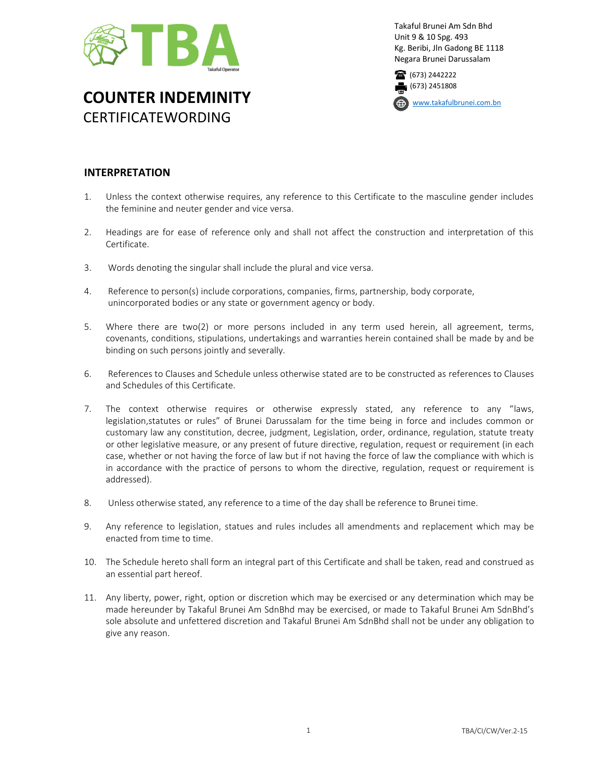

Takaful Brunei Am Sdn Bhd Unit 9 & 10 Spg. 493 Kg. Beribi, Jln Gadong BE 1118 Negara Brunei Darussalam



**COUNTER INDEMINITY** CERTIFICATEWORDING

[www.takafulbrunei.com.bn](http://www.takafulbrunei.com.bn/)

## **INTERPRETATION**

- 1. Unless the context otherwise requires, any reference to this Certificate to the masculine gender includes the feminine and neuter gender and vice versa.
- 2. Headings are for ease of reference only and shall not affect the construction and interpretation of this Certificate.
- 3. Words denoting the singular shall include the plural and vice versa.
- 4. Reference to person(s) include corporations, companies, firms, partnership, body corporate, unincorporated bodies or any state or government agency or body.
- 5. Where there are two(2) or more persons included in any term used herein, all agreement, terms, covenants, conditions, stipulations, undertakings and warranties herein contained shall be made by and be binding on such persons jointly and severally.
- 6. References to Clauses and Schedule unless otherwise stated are to be constructed as references to Clauses and Schedules of this Certificate.
- 7. The context otherwise requires or otherwise expressly stated, any reference to any "laws, legislation,statutes or rules" of Brunei Darussalam for the time being in force and includes common or customary law any constitution, decree, judgment, Legislation, order, ordinance, regulation, statute treaty or other legislative measure, or any present of future directive, regulation, request or requirement (in each case, whether or not having the force of law but if not having the force of law the compliance with which is in accordance with the practice of persons to whom the directive, regulation, request or requirement is addressed).
- 8. Unless otherwise stated, any reference to a time of the day shall be reference to Brunei time.
- 9. Any reference to legislation, statues and rules includes all amendments and replacement which may be enacted from time to time.
- 10. The Schedule hereto shall form an integral part of this Certificate and shall be taken, read and construed as an essential part hereof.
- 11. Any liberty, power, right, option or discretion which may be exercised or any determination which may be made hereunder by Takaful Brunei Am SdnBhd may be exercised, or made to Takaful Brunei Am SdnBhd's sole absolute and unfettered discretion and Takaful Brunei Am SdnBhd shall not be under any obligation to give any reason.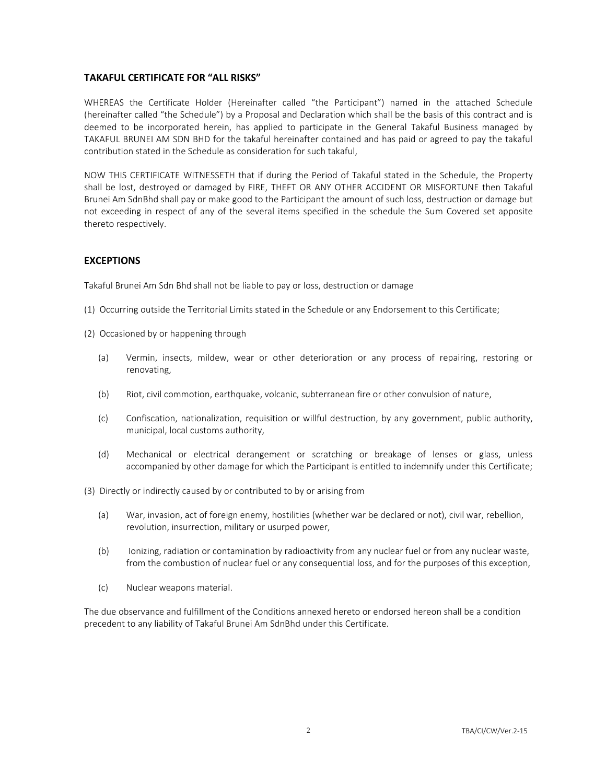## **TAKAFUL CERTIFICATE FOR "ALL RISKS"**

WHEREAS the Certificate Holder (Hereinafter called "the Participant") named in the attached Schedule (hereinafter called "the Schedule") by a Proposal and Declaration which shall be the basis of this contract and is deemed to be incorporated herein, has applied to participate in the General Takaful Business managed by TAKAFUL BRUNEI AM SDN BHD for the takaful hereinafter contained and has paid or agreed to pay the takaful contribution stated in the Schedule as consideration for such takaful,

NOW THIS CERTIFICATE WITNESSETH that if during the Period of Takaful stated in the Schedule, the Property shall be lost, destroyed or damaged by FIRE, THEFT OR ANY OTHER ACCIDENT OR MISFORTUNE then Takaful Brunei Am SdnBhd shall pay or make good to the Participant the amount of such loss, destruction or damage but not exceeding in respect of any of the several items specified in the schedule the Sum Covered set apposite thereto respectively.

## **EXCEPTIONS**

Takaful Brunei Am Sdn Bhd shall not be liable to pay or loss, destruction or damage

- (1) Occurring outside the Territorial Limits stated in the Schedule or any Endorsement to this Certificate;
- (2) Occasioned by or happening through
	- (a) Vermin, insects, mildew, wear or other deterioration or any process of repairing, restoring or renovating,
	- (b) Riot, civil commotion, earthquake, volcanic, subterranean fire or other convulsion of nature,
	- (c) Confiscation, nationalization, requisition or willful destruction, by any government, public authority, municipal, local customs authority,
	- (d) Mechanical or electrical derangement or scratching or breakage of lenses or glass, unless accompanied by other damage for which the Participant is entitled to indemnify under this Certificate;
- (3) Directly or indirectly caused by or contributed to by or arising from
	- (a) War, invasion, act of foreign enemy, hostilities (whether war be declared or not), civil war, rebellion, revolution, insurrection, military or usurped power,
	- (b) Ionizing, radiation or contamination by radioactivity from any nuclear fuel or from any nuclear waste, from the combustion of nuclear fuel or any consequential loss, and for the purposes of this exception,
	- (c) Nuclear weapons material.

The due observance and fulfillment of the Conditions annexed hereto or endorsed hereon shall be a condition precedent to any liability of Takaful Brunei Am SdnBhd under this Certificate.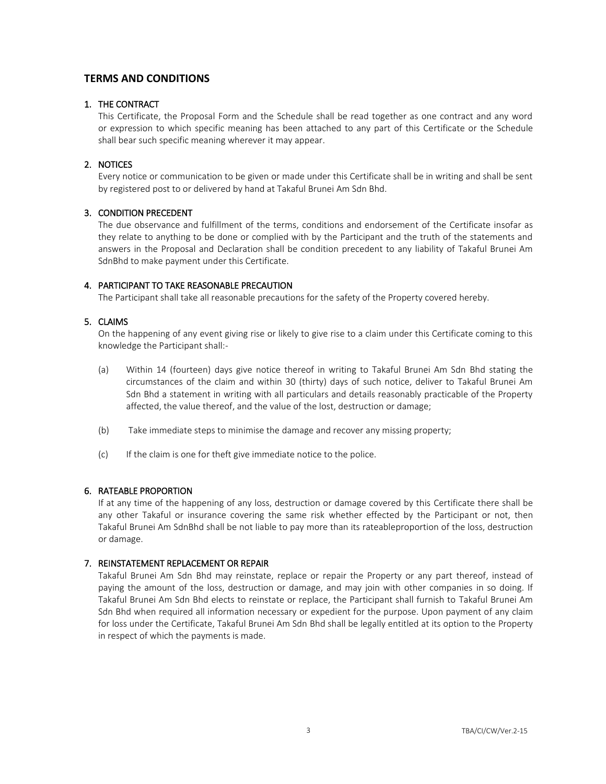## **TERMS AND CONDITIONS**

## 1. THE CONTRACT

This Certificate, the Proposal Form and the Schedule shall be read together as one contract and any word or expression to which specific meaning has been attached to any part of this Certificate or the Schedule shall bear such specific meaning wherever it may appear.

## 2. NOTICES

Every notice or communication to be given or made under this Certificate shall be in writing and shall be sent by registered post to or delivered by hand at Takaful Brunei Am Sdn Bhd.

## 3. CONDITION PRECEDENT

The due observance and fulfillment of the terms, conditions and endorsement of the Certificate insofar as they relate to anything to be done or complied with by the Participant and the truth of the statements and answers in the Proposal and Declaration shall be condition precedent to any liability of Takaful Brunei Am SdnBhd to make payment under this Certificate.

## 4. PARTICIPANT TO TAKE REASONABLE PRECAUTION

The Participant shall take all reasonable precautions for the safety of the Property covered hereby.

## 5. CLAIMS

On the happening of any event giving rise or likely to give rise to a claim under this Certificate coming to this knowledge the Participant shall:-

- (a) Within 14 (fourteen) days give notice thereof in writing to Takaful Brunei Am Sdn Bhd stating the circumstances of the claim and within 30 (thirty) days of such notice, deliver to Takaful Brunei Am Sdn Bhd a statement in writing with all particulars and details reasonably practicable of the Property affected, the value thereof, and the value of the lost, destruction or damage;
- (b) Take immediate steps to minimise the damage and recover any missing property;
- (c) If the claim is one for theft give immediate notice to the police.

### 6. RATEABLE PROPORTION

If at any time of the happening of any loss, destruction or damage covered by this Certificate there shall be any other Takaful or insurance covering the same risk whether effected by the Participant or not, then Takaful Brunei Am SdnBhd shall be not liable to pay more than its rateableproportion of the loss, destruction or damage.

### 7. REINSTATEMENT REPLACEMENT OR REPAIR

Takaful Brunei Am Sdn Bhd may reinstate, replace or repair the Property or any part thereof, instead of paying the amount of the loss, destruction or damage, and may join with other companies in so doing. If Takaful Brunei Am Sdn Bhd elects to reinstate or replace, the Participant shall furnish to Takaful Brunei Am Sdn Bhd when required all information necessary or expedient for the purpose. Upon payment of any claim for loss under the Certificate, Takaful Brunei Am Sdn Bhd shall be legally entitled at its option to the Property in respect of which the payments is made.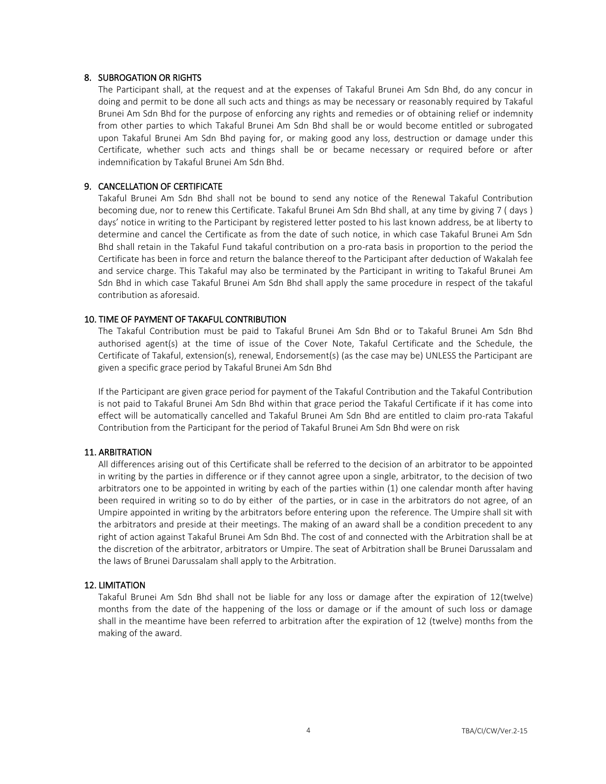#### 8. SUBROGATION OR RIGHTS

The Participant shall, at the request and at the expenses of Takaful Brunei Am Sdn Bhd, do any concur in doing and permit to be done all such acts and things as may be necessary or reasonably required by Takaful Brunei Am Sdn Bhd for the purpose of enforcing any rights and remedies or of obtaining relief or indemnity from other parties to which Takaful Brunei Am Sdn Bhd shall be or would become entitled or subrogated upon Takaful Brunei Am Sdn Bhd paying for, or making good any loss, destruction or damage under this Certificate, whether such acts and things shall be or became necessary or required before or after indemnification by Takaful Brunei Am Sdn Bhd.

#### 9. CANCELLATION OF CERTIFICATE

Takaful Brunei Am Sdn Bhd shall not be bound to send any notice of the Renewal Takaful Contribution becoming due, nor to renew this Certificate. Takaful Brunei Am Sdn Bhd shall, at any time by giving 7 ( days ) days' notice in writing to the Participant by registered letter posted to his last known address, be at liberty to determine and cancel the Certificate as from the date of such notice, in which case Takaful Brunei Am Sdn Bhd shall retain in the Takaful Fund takaful contribution on a pro-rata basis in proportion to the period the Certificate has been in force and return the balance thereof to the Participant after deduction of Wakalah fee and service charge. This Takaful may also be terminated by the Participant in writing to Takaful Brunei Am Sdn Bhd in which case Takaful Brunei Am Sdn Bhd shall apply the same procedure in respect of the takaful contribution as aforesaid.

#### 10. TIME OF PAYMENT OF TAKAFUL CONTRIBUTION

The Takaful Contribution must be paid to Takaful Brunei Am Sdn Bhd or to Takaful Brunei Am Sdn Bhd authorised agent(s) at the time of issue of the Cover Note, Takaful Certificate and the Schedule, the Certificate of Takaful, extension(s), renewal, Endorsement(s) (as the case may be) UNLESS the Participant are given a specific grace period by Takaful Brunei Am Sdn Bhd

If the Participant are given grace period for payment of the Takaful Contribution and the Takaful Contribution is not paid to Takaful Brunei Am Sdn Bhd within that grace period the Takaful Certificate if it has come into effect will be automatically cancelled and Takaful Brunei Am Sdn Bhd are entitled to claim pro-rata Takaful Contribution from the Participant for the period of Takaful Brunei Am Sdn Bhd were on risk

#### 11. ARBITRATION

All differences arising out of this Certificate shall be referred to the decision of an arbitrator to be appointed in writing by the parties in difference or if they cannot agree upon a single, arbitrator, to the decision of two arbitrators one to be appointed in writing by each of the parties within (1) one calendar month after having been required in writing so to do by either of the parties, or in case in the arbitrators do not agree, of an Umpire appointed in writing by the arbitrators before entering upon the reference. The Umpire shall sit with the arbitrators and preside at their meetings. The making of an award shall be a condition precedent to any right of action against Takaful Brunei Am Sdn Bhd. The cost of and connected with the Arbitration shall be at the discretion of the arbitrator, arbitrators or Umpire. The seat of Arbitration shall be Brunei Darussalam and the laws of Brunei Darussalam shall apply to the Arbitration.

#### 12. LIMITATION

Takaful Brunei Am Sdn Bhd shall not be liable for any loss or damage after the expiration of 12(twelve) months from the date of the happening of the loss or damage or if the amount of such loss or damage shall in the meantime have been referred to arbitration after the expiration of 12 (twelve) months from the making of the award.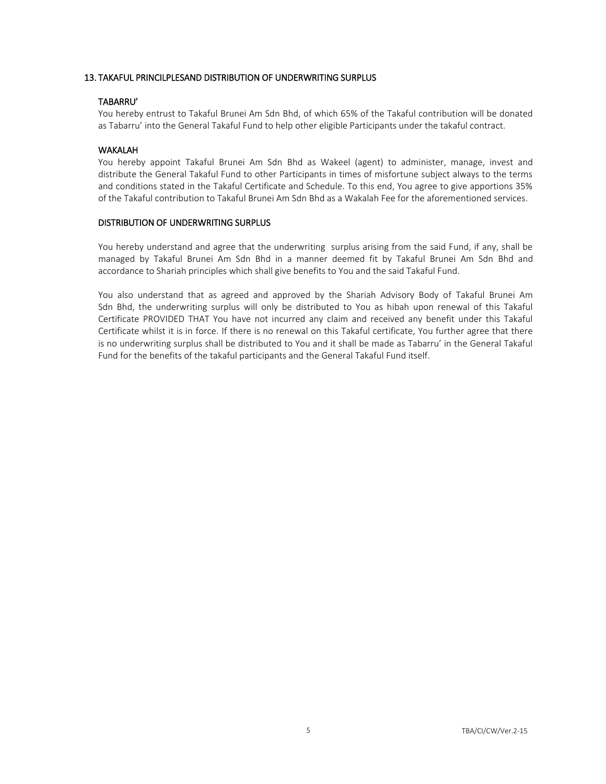#### 13. TAKAFUL PRINCILPLESAND DISTRIBUTION OF UNDERWRITING SURPLUS

#### TABARRU'

You hereby entrust to Takaful Brunei Am Sdn Bhd, of which 65% of the Takaful contribution will be donated as Tabarru' into the General Takaful Fund to help other eligible Participants under the takaful contract.

#### WAKALAH

You hereby appoint Takaful Brunei Am Sdn Bhd as Wakeel (agent) to administer, manage, invest and distribute the General Takaful Fund to other Participants in times of misfortune subject always to the terms and conditions stated in the Takaful Certificate and Schedule. To this end, You agree to give apportions 35% of the Takaful contribution to Takaful Brunei Am Sdn Bhd as a Wakalah Fee for the aforementioned services.

#### DISTRIBUTION OF UNDERWRITING SURPLUS

You hereby understand and agree that the underwriting surplus arising from the said Fund, if any, shall be managed by Takaful Brunei Am Sdn Bhd in a manner deemed fit by Takaful Brunei Am Sdn Bhd and accordance to Shariah principles which shall give benefits to You and the said Takaful Fund.

You also understand that as agreed and approved by the Shariah Advisory Body of Takaful Brunei Am Sdn Bhd, the underwriting surplus will only be distributed to You as hibah upon renewal of this Takaful Certificate PROVIDED THAT You have not incurred any claim and received any benefit under this Takaful Certificate whilst it is in force. If there is no renewal on this Takaful certificate, You further agree that there is no underwriting surplus shall be distributed to You and it shall be made as Tabarru' in the General Takaful Fund for the benefits of the takaful participants and the General Takaful Fund itself.